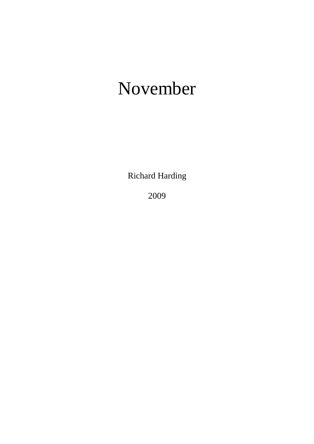## November

Richard Harding

2009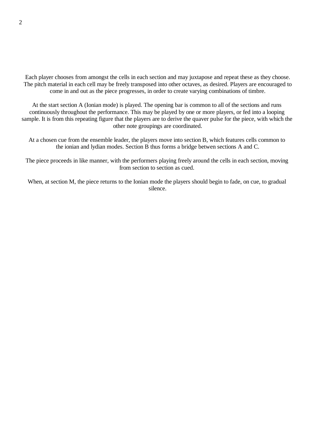Each player chooses from amongst the cells in each section and may juxtapose and repeat these as they choose. The pitch material in each cell may be freely transposed into other octaves, as desired. Players are encouraged to come in and out as the piece progresses, in order to create varying combinations of timbre.

At the start section A (Ionian mode) is played. The opening bar is common to all of the sections and runs continuously throughout the performance. This may be played by one or more players, or fed into a looping sample. It is from this repeating figure that the players are to derive the quaver pulse for the piece, with which the other note groupings are coordinated.

At a chosen cue from the ensemble leader, the players move into section B, which features cells common to the ionian and lydian modes. Section B thus forms a bridge betwen sections A and C.

The piece proceeds in like manner, with the performers playing freely around the cells in each section, moving from section to section as cued.

When, at section M, the piece returns to the Ionian mode the players should begin to fade, on cue, to gradual silence.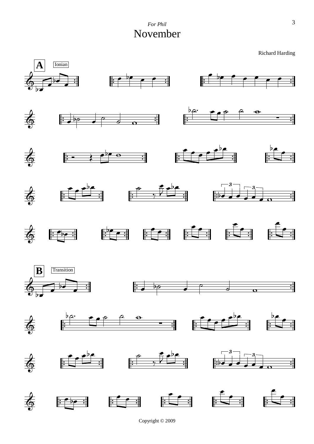

Copyright © 2009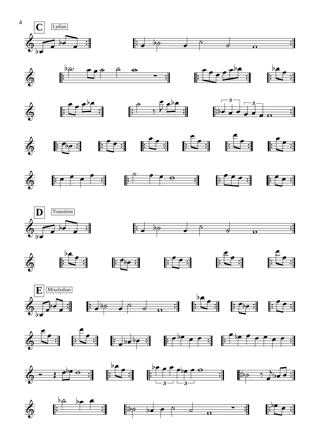



















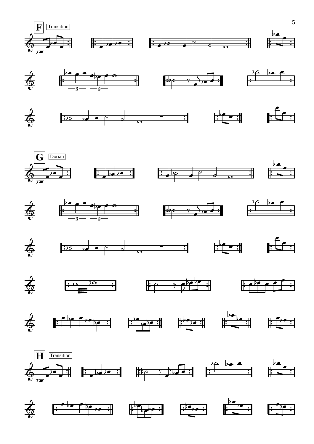

















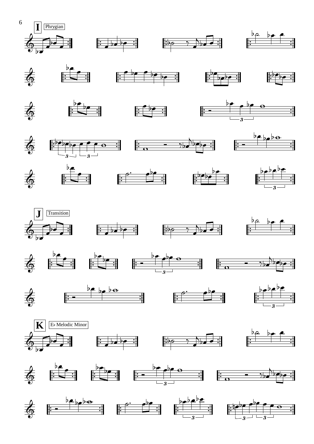